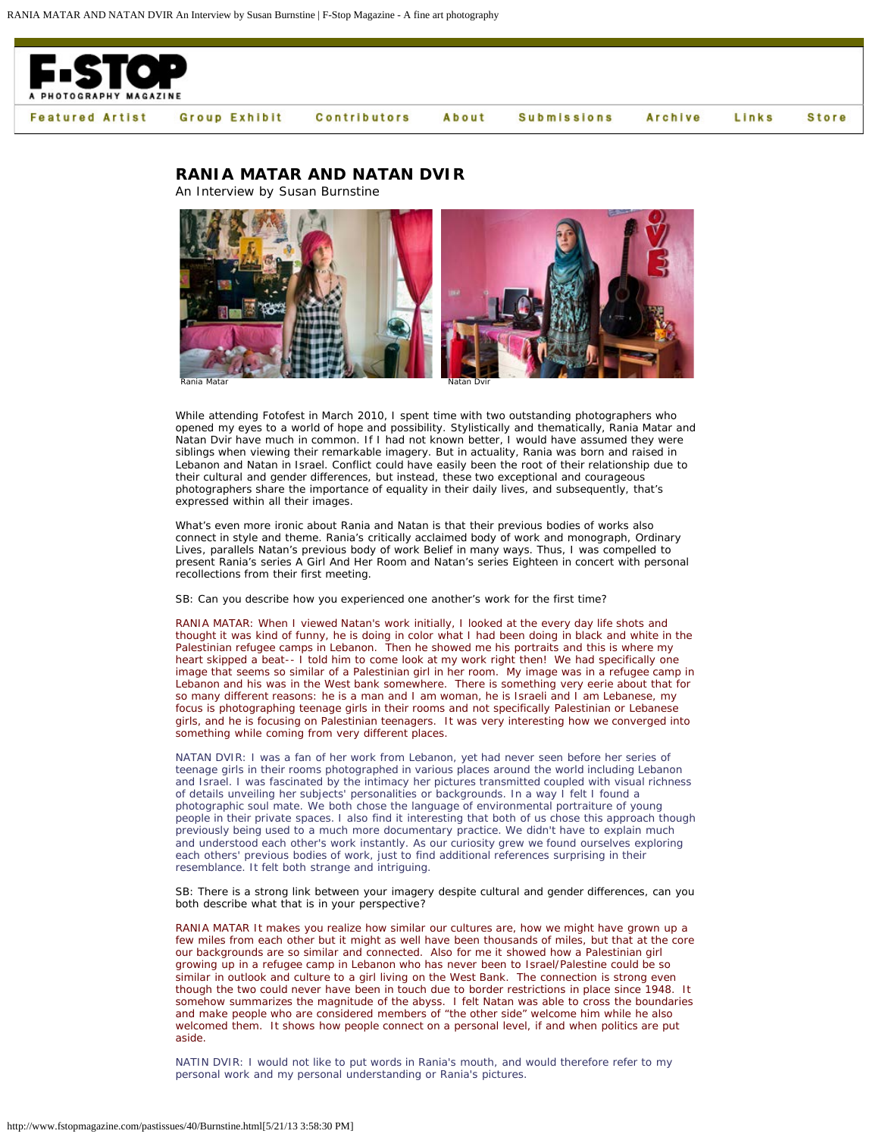

## **RANIA MATAR AND NATAN DVIR**

An Interview by Susan Burnstine



While attending Fotofest in March 2010, I spent time with two outstanding photographers who opened my eyes to a world of hope and possibility. Stylistically and thematically, Rania Matar and Natan Dvir have much in common. If I had not known better, I would have assumed they were siblings when viewing their remarkable imagery. But in actuality, Rania was born and raised in Lebanon and Natan in Israel. Conflict could have easily been the root of their relationship due to their cultural and gender differences, but instead, these two exceptional and courageous photographers share the importance of equality in their daily lives, and subsequently, that's expressed within all their images.

What's even more ironic about Rania and Natan is that their previous bodies of works also connect in style and theme. Rania's critically acclaimed body of work and monograph, *Ordinary Lives*, parallels Natan's previous body of work *Belief* in many ways. Thus, I was compelled to present Rania's series *A Girl And Her Room* and Natan's series *Eighteen* in concert with personal recollections from their first meeting.

SB: Can you describe how you experienced one another's work for the first time?

RANIA MATAR: When I viewed Natan's work initially, I looked at the every day life shots and thought it was kind of funny, he is doing in color what I had been doing in black and white in the Palestinian refugee camps in Lebanon. Then he showed me his portraits and this is where my heart skipped a beat-- I told him to come look at my work right then! We had specifically one image that seems so similar of a Palestinian girl in her room. My image was in a refugee camp in Lebanon and his was in the West bank somewhere. There is something very eerie about that for so many different reasons: he is a man and I am woman, he is Israeli and I am Lebanese, my focus is photographing teenage girls in their rooms and not specifically Palestinian or Lebanese girls, and he is focusing on Palestinian teenagers. It was very interesting how we converged into something while coming from very different places.

NATAN DVIR: I was a fan of her work from Lebanon, yet had never seen before her series of teenage girls in their rooms photographed in various places around the world including Lebanon and Israel. I was fascinated by the intimacy her pictures transmitted coupled with visual richness of details unveiling her subjects' personalities or backgrounds. In a way I felt I found a photographic soul mate. We both chose the language of environmental portraiture of young people in their private spaces. I also find it interesting that both of us chose this approach though previously being used to a much more documentary practice. We didn't have to explain much and understood each other's work instantly. As our curiosity grew we found ourselves exploring each others' previous bodies of work, just to find additional references surprising in their resemblance. It felt both strange and intriguing.

SB: There is a strong link between your imagery despite cultural and gender differences, can you both describe what that is in your perspective?

RANIA MATAR It makes you realize how similar our cultures are, how we might have grown up a few miles from each other but it might as well have been thousands of miles, but that at the core our backgrounds are so similar and connected. Also for me it showed how a Palestinian girl growing up in a refugee camp in Lebanon who has never been to Israel/Palestine could be so similar in outlook and culture to a girl living on the West Bank. The connection is strong even though the two could never have been in touch due to border restrictions in place since 1948. It somehow summarizes the magnitude of the abyss. I felt Natan was able to cross the boundaries and make people who are considered members of "the other side" welcome him while he also welcomed them. It shows how people connect on a personal level, if and when politics are put aside.

NATIN DVIR: I would not like to put words in Rania's mouth, and would therefore refer to my personal work and my personal understanding or Rania's pictures.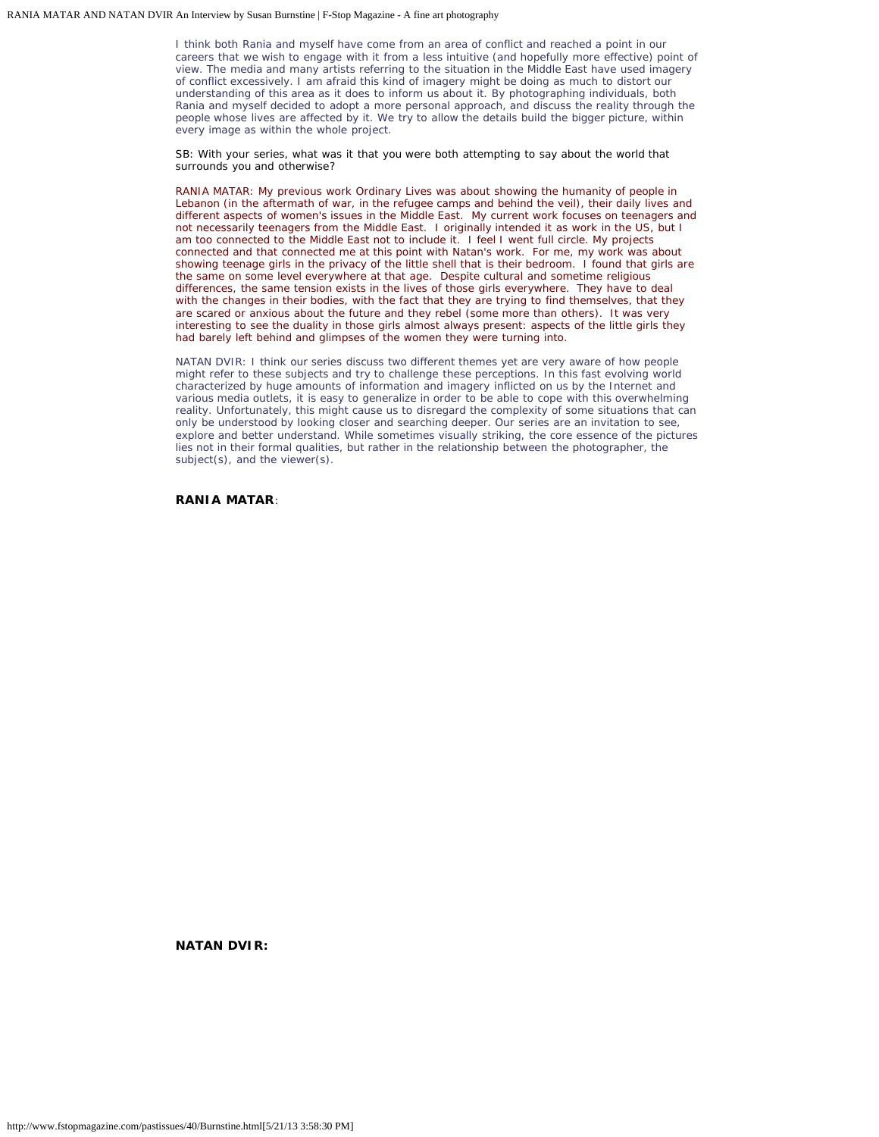I think both Rania and myself have come from an area of conflict and reached a point in our careers that we wish to engage with it from a less intuitive (and hopefully more effective) point of view. The media and many artists referring to the situation in the Middle East have used imagery of conflict excessively. I am afraid this kind of imagery might be doing as much to distort our understanding of this area as it does to inform us about it. By photographing individuals, both Rania and myself decided to adopt a more personal approach, and discuss the reality through the people whose lives are affected by it. We try to allow the details build the bigger picture, within every image as within the whole project.

SB: With your series, what was it that you were both attempting to say about the world that surrounds you and otherwise?

RANIA MATAR: My previous work *Ordinary Lives* was about showing the humanity of people in Lebanon (in the aftermath of war, in the refugee camps and behind the veil), their daily lives and different aspects of women's issues in the Middle East. My current work focuses on teenagers and not necessarily teenagers from the Middle East. I originally intended it as work in the US, but I am too connected to the Middle East not to include it. I feel I went full circle. My projects connected and that connected me at this point with Natan's work. For me, my work was about showing teenage girls in the privacy of the little shell that is their bedroom. I found that girls are the same on some level everywhere at that age. Despite cultural and sometime religious differences, the same tension exists in the lives of those girls everywhere. They have to deal with the changes in their bodies, with the fact that they are trying to find themselves, that they are scared or anxious about the future and they rebel (some more than others). It was very interesting to see the duality in those girls almost always present: aspects of the little girls they had barely left behind and glimpses of the women they were turning into.

NATAN DVIR: I think our series discuss two different themes yet are very aware of how people might refer to these subjects and try to challenge these perceptions. In this fast evolving world characterized by huge amounts of information and imagery inflicted on us by the Internet and various media outlets, it is easy to generalize in order to be able to cope with this overwhelming reality. Unfortunately, this might cause us to disregard the complexity of some situations that can only be understood by looking closer and searching deeper. Our series are an invitation to see, explore and better understand. While sometimes visually striking, the core essence of the pictures lies not in their formal qualities, but rather in the relationship between the photographer, the subject(s), and the viewer(s).

**RANIA MATAR**:

**NATAN DVIR:**